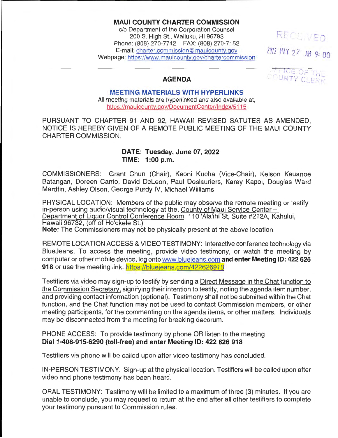## **MAUI COUNTY CHARTER COMMISSION**

c/o Department of the Corporation Counsel 200 S. High St., Wailuku, HI 96793 Phone: (808) 270-7742 **FAX:** (808) 270-7152 E-mail: [charter.commission@mauicounty.gov](mailto:charter.commission@mauicounty.gov) Webpage: <https://www.mauicounty.gov/chartercommission>

RECEIVED *ZOZZ MAY 27 AM 9:00* 

THOE OF THE COUNTY CLERK

#### **AGENDA**

**MEETING MATERIALS WITH HYPERLINKS**  All meeting materials are hyperlinked and also available at, [https://mauicounty.gov/DocumentCenter/lndex/5115](https://mauicounty.gov/DocumentCenter/Index/5115) 

PURSUANT TO CHAPTER 91 AND 92, HAWAII REVISED SATUTES AS AMENDED, NOTICE IS HEREBY GIVEN OF A REMOTE PUBLIC MEETING OF THE MAUI COUNTY CHARTER COMMISSION.

### **DATE: Tuesday, June 07, 2022 TIME: 1 :00 p.m.**

COMMISSIONERS: Grant Chun (Chair), Keoni Kuoha (Vice-Chair), Kelson Kauanoe Batangan, Doreen Canto, David Deleon, Paul Deslauriers, Karey Kapoi, Douglas Ward Mardfin, Ashley Olson, George Purdy IV, Michael Williams

PHYSICAL LOCATION: Members of the public may observe the remote meeting or testify in-person using audio/visual technology at the, County of Maui Service Center - Department of Liquor Control Conference Room, 110 'Ala'ihi St, Suite #212A, Kahului, Hawaii 96732, (off of Ho'okele St.)

**Note:** The Commissioners may not be physically present at the above location.

REMOTE LOCATION ACCESS & VIDEO TESTIMONY: Interactive conference technology via BlueJeans. To access the meeting, provide video testimony, or watch the meeting by computer or other mobile device, log onto [www.bluejeans.com](http://www.bluejeans.com/) **and enter Meeting ID: 422 626**  918 or use the meeting link, https://bluejeans.com/422626918

Testifiers via video may sign-up to testify by sending a Direct Message in the Chat function to the Commission Secretary, signifying their intention to testify, noting the agenda item number, and providing contact information (optional). Testimony shall not be submitted within the Chat function, and the Chat function may not be used to contact Commission members, or other meeting participants, for the commenting on the agenda items, or other matters. Individuals may be disconnected from the meeting for breaking decorum.

PHONE ACCESS: To provide testimony by phone OR listen to the meeting **Dial 1-408-915-6290 (toll-free) and enter Meeting ID: 422 626 918** 

Testifiers via phone will be called upon after video testimony has concluded.

IN-PERSON TESTIMONY: Sign-up at the physical location. Testifiers will be called upon after video and phone testimony has been heard.

ORAL TESTIMONY: Testimony will be limited to a maximum of three (3) minutes. If you are unable to conclude, you may request to return at the end after all other testifiers to complete your testimony pursuant to Commission rules.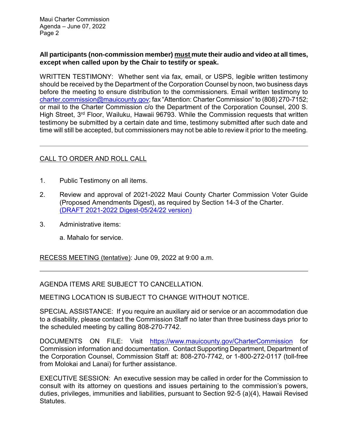Maui Charter Commission Agenda – June 07, 2022 Page 2

## **All participants (non-commission member) must mute their audio and video at all times, except when called upon by the Chair to testify or speak.**

WRITTEN TESTIMONY: Whether sent via fax, email, or USPS, legible written testimony should be received by the Department of the Corporation Counsel by noon, two business days before the meeting to ensure distribution to the commissioners. Email written testimony to [charter.commission@mauicounty.gov;](mailto:charter.commission@mauicounty.gov) fax "Attention: Charter Commission" to (808) 270-7152; or mail to the Charter Commission c/o the Department of the Corporation Counsel, 200 S. High Street, 3<sup>rd</sup> Floor, Wailuku, Hawaii 96793. While the Commission requests that written testimony be submitted by a certain date and time, testimony submitted after such date and time will still be accepted, but commissioners may not be able to review it prior to the meeting.

# CALL TO ORDER AND ROLL CALL

- 1. Public Testimony on all items.
- 2. Review and approval of 2021-2022 Maui County Charter Commission Voter Guide (Proposed Amendments Digest), as required by Section 14-3 of the Charter. (DRAFT [2021-2022 Digest-05/24/22 version\)](https://www.mauicounty.gov/DocumentCenter/View/133739/JUNE-7_Item-No-2_Draft-Digest_w-worksheet)
- 3. Administrative items:
	- a. Mahalo for service.

RECESS MEETING (tentative): June 09, 2022 at 9:00 a.m.

AGENDA ITEMS ARE SUBJECT TO CANCELLATION.

MEETING LOCATION IS SUBJECT TO CHANGE WITHOUT NOTICE.

SPECIAL ASSISTANCE: If you require an auxiliary aid or service or an accommodation due to a disability, please contact the Commission Staff no later than three business days prior to the scheduled meeting by calling 808-270-7742.

DOCUMENTS ON FILE: Visit <https://www.mauicounty.gov/CharterCommission> for Commission information and documentation. Contact Supporting Department, Department of the Corporation Counsel, Commission Staff at: 808-270-7742, or 1-800-272-0117 (toll-free from Molokai and Lanai) for further assistance.

EXECUTIVE SESSION: An executive session may be called in order for the Commission to consult with its attorney on questions and issues pertaining to the commission's powers, duties, privileges, immunities and liabilities, pursuant to Section 92-5 (a)(4), Hawaii Revised Statutes.